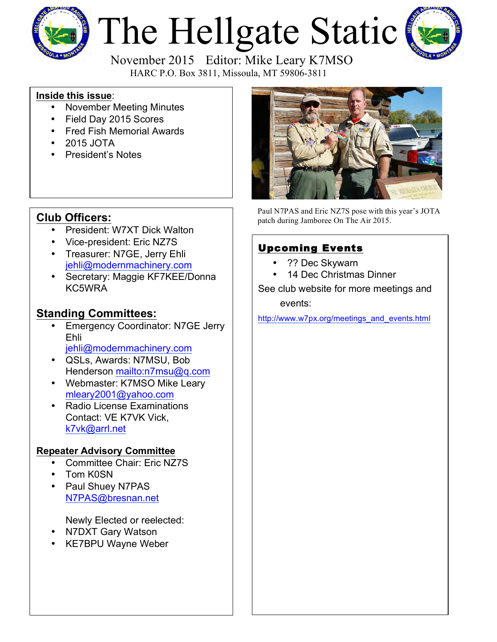

# The Hellgate Static



 November 2015 Editor: Mike Leary K7MSO HARC P.O. Box 3811, Missoula, MT 59806-3811

### **Inside this issue**:

- November Meeting Minutes
- Field Day 2015 Scores
- Fred Fish Memorial Awards
- 2015 JOTA
- President's Notes

## **Club Officers:**

- President: W7XT Dick Walton
- Vice-president: Eric NZ7S
- Treasurer: N7GE, Jerry Ehli [jehli@modernmachinery.com](mailto:jehli@modernmachinery.com?subject=Hellgate Amateur Radio Club Info)
- Secretary: Maggie KF7KEE/Donna KC5WRA

## **Standing Committees:**

- Emergency Coordinator: N7GE Jerry Ehli
	- [jehli@modernmachinery.com](mailto:jehli@modernmachinery.com?subject=Hellgate Amateur Radio Club Info)
- QSLs, Awards: N7MSU, Bob Henderson <mailto:n7msu@q.com>
- Webmaster: K7MSO Mike Leary [mleary2001@yahoo.com](mailto:mleary2001@yahoo.com?subject=Hellgate Amateur Radio Club Web Site Info)
- Radio License Examinations Contact: VE K7VK Vick, [k7vk@arrl.net](mailto:k7vk@arrl.net?subject=Hellgate Amateur Radio Club License Exams)

## **Repeater Advisory Committee**

- Committee Chair: Eric NZ7S
- Tom K0SN
- Paul Shuey N7PAS N7PAS@bresnan.net

Newly Elected or reelected:

- N7DXT Gary Watson
- KE7BPU Wayne Weber



Paul N7PAS and Eric NZ7S pose with this year's JOTA patch during Jamboree On The Air 2015.

## Upcoming Events

- ?? Dec Skywarn
- 14 Dec Christmas Dinner

See club website for more meetings and events:

[http://www.w7px.org/meetings\\_and\\_events.html](http://www.w7px.org/meetings_and_events.html)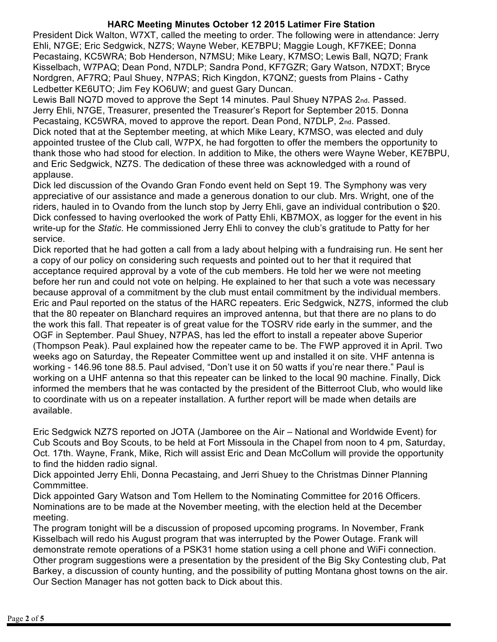#### **HARC Meeting Minutes October 12 2015 Latimer Fire Station**

President Dick Walton, W7XT, called the meeting to order. The following were in attendance: Jerry Ehli, N7GE; Eric Sedgwick, NZ7S; Wayne Weber, KE7BPU; Maggie Lough, KF7KEE; Donna Pecastaing, KC5WRA; Bob Henderson, N7MSU; Mike Leary, K7MSO; Lewis Ball, NQ7D; Frank Kisselbach, W7PAQ; Dean Pond, N7DLP; Sandra Pond, KF7GZR; Gary Watson, N7DXT; Bryce Nordgren, AF7RQ; Paul Shuey, N7PAS; Rich Kingdon, K7QNZ; guests from Plains - Cathy Ledbetter KE6UTO; Jim Fey KO6UW; and guest Gary Duncan.

Lewis Ball NQ7D moved to approve the Sept 14 minutes. Paul Shuey N7PAS 2nd. Passed. Jerry Ehli, N7GE, Treasurer, presented the Treasurer's Report for September 2015. Donna Pecastaing, KC5WRA, moved to approve the report. Dean Pond, N7DLP, 2nd. Passed. Dick noted that at the September meeting, at which Mike Leary, K7MSO, was elected and duly appointed trustee of the Club call, W7PX, he had forgotten to offer the members the opportunity to thank those who had stood for election. In addition to Mike, the others were Wayne Weber, KE7BPU, and Eric Sedgwick, NZ7S. The dedication of these three was acknowledged with a round of applause.

Dick led discussion of the Ovando Gran Fondo event held on Sept 19. The Symphony was very appreciative of our assistance and made a generous donation to our club. Mrs. Wright, one of the riders, hauled in to Ovando from the lunch stop by Jerry Ehli, gave an individual contribution o \$20. Dick confessed to having overlooked the work of Patty Ehli, KB7MOX, as logger for the event in his write-up for the *Static*. He commissioned Jerry Ehli to convey the club's gratitude to Patty for her service.

Dick reported that he had gotten a call from a lady about helping with a fundraising run. He sent her a copy of our policy on considering such requests and pointed out to her that it required that acceptance required approval by a vote of the cub members. He told her we were not meeting before her run and could not vote on helping. He explained to her that such a vote was necessary because approval of a commitment by the club must entail commitment by the individual members. Eric and Paul reported on the status of the HARC repeaters. Eric Sedgwick, NZ7S, informed the club that the 80 repeater on Blanchard requires an improved antenna, but that there are no plans to do the work this fall. That repeater is of great value for the TOSRV ride early in the summer, and the OGF in September. Paul Shuey, N7PAS, has led the effort to install a repeater above Superior (Thompson Peak). Paul explained how the repeater came to be. The FWP approved it in April. Two weeks ago on Saturday, the Repeater Committee went up and installed it on site. VHF antenna is working - 146.96 tone 88.5. Paul advised, "Don't use it on 50 watts if you're near there." Paul is working on a UHF antenna so that this repeater can be linked to the local 90 machine. Finally, Dick informed the members that he was contacted by the president of the Bitterroot Club, who would like to coordinate with us on a repeater installation. A further report will be made when details are available.

Eric Sedgwick NZ7S reported on JOTA (Jamboree on the Air – National and Worldwide Event) for Cub Scouts and Boy Scouts, to be held at Fort Missoula in the Chapel from noon to 4 pm, Saturday, Oct. 17th. Wayne, Frank, Mike, Rich will assist Eric and Dean McCollum will provide the opportunity to find the hidden radio signal.

Dick appointed Jerry Ehli, Donna Pecastaing, and Jerri Shuey to the Christmas Dinner Planning Commmittee.

Dick appointed Gary Watson and Tom Hellem to the Nominating Committee for 2016 Officers. Nominations are to be made at the November meeting, with the election held at the December meeting.

The program tonight will be a discussion of proposed upcoming programs. In November, Frank Kisselbach will redo his August program that was interrupted by the Power Outage. Frank will demonstrate remote operations of a PSK31 home station using a cell phone and WiFi connection. Other program suggestions were a presentation by the president of the Big Sky Contesting club, Pat Barkey, a discussion of county hunting, and the possibility of putting Montana ghost towns on the air. Our Section Manager has not gotten back to Dick about this.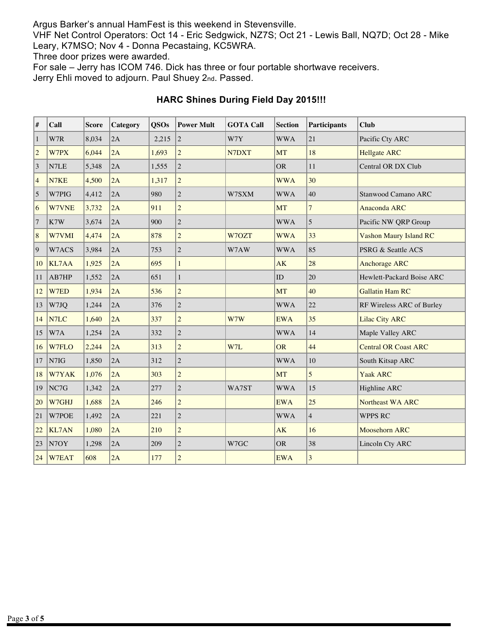Argus Barker's annual HamFest is this weekend in Stevensville.

VHF Net Control Operators: Oct 14 - Eric Sedgwick, NZ7S; Oct 21 - Lewis Ball, NQ7D; Oct 28 - Mike Leary, K7MSO; Nov 4 - Donna Pecastaing, KC5WRA.

Three door prizes were awarded.

For sale – Jerry has ICOM 746. Dick has three or four portable shortwave receivers.

Jerry Ehli moved to adjourn. Paul Shuey 2nd. Passed.

| $\vert$ #            | Call         | <b>Score</b> | Category | <b>QSOs</b> | <b>Power Mult</b> | <b>GOTA Call</b> | <b>Section</b> | <b>Participants</b>     | <b>Club</b>                   |
|----------------------|--------------|--------------|----------|-------------|-------------------|------------------|----------------|-------------------------|-------------------------------|
| $\boxed{1}$          | W7R          | 8,034        | 2A       | 2,215       | $\overline{2}$    | W7Y              | <b>WWA</b>     | 21                      | Pacific Cty ARC               |
| $\vert$ <sub>2</sub> | W7PX         | 6,044        | 2A       | 1,693       | $\overline{2}$    | N7DXT            | <b>MT</b>      | 18                      | <b>Hellgate ARC</b>           |
| $\sqrt{3}$           | N7LE         | 5,348        | 2A       | 1,555       | $\overline{2}$    |                  | <b>OR</b>      | 11                      | Central OR DX Club            |
| $\vert 4$            | N7KE         | 4,500        | 2A       | 1,317       | $\overline{c}$    |                  | <b>WWA</b>     | 30                      |                               |
| $\sqrt{5}$           | W7PIG        | 4,412        | 2A       | 980         | $\overline{c}$    | W7SXM            | <b>WWA</b>     | 40                      | Stanwood Camano ARC           |
| 6                    | W7VNE        | 3,732        | 2A       | 911         | $\overline{c}$    |                  | <b>MT</b>      | $\overline{7}$          | Anaconda ARC                  |
| $\overline{7}$       | K7W          | 3,674        | 2A       | 900         | $\overline{2}$    |                  | <b>WWA</b>     | 5                       | Pacific NW QRP Group          |
| 8                    | W7VMI        | 4,474        | 2A       | 878         | $\overline{c}$    | W7OZT            | <b>WWA</b>     | 33                      | <b>Vashon Maury Island RC</b> |
| $\vert$ 9            | W7ACS        | 3,984        | 2A       | 753         | $\overline{2}$    | W7AW             | <b>WWA</b>     | 85                      | PSRG & Seattle ACS            |
| 10                   | KL7AA        | 1,925        | 2A       | 695         | $\mathbf{1}$      |                  | AK             | 28                      | <b>Anchorage ARC</b>          |
| 11                   | AB7HP        | 1,552        | 2A       | 651         | 1                 |                  | ID             | 20                      | Hewlett-Packard Boise ARC     |
| <sup>12</sup>        | W7ED         | 1,934        | 2A       | 536         | $\overline{c}$    |                  | <b>MT</b>      | 40                      | <b>Gallatin Ham RC</b>        |
| <sup>13</sup>        | W7JQ         | 1,244        | 2A       | 376         | $\overline{c}$    |                  | <b>WWA</b>     | 22                      | RF Wireless ARC of Burley     |
| 14                   | N7LC         | 1,640        | 2A       | 337         | $\overline{c}$    | W7W              | <b>EWA</b>     | 35                      | <b>Lilac City ARC</b>         |
| <sup>15</sup>        | W7A          | 1,254        | 2A       | 332         | $\overline{c}$    |                  | <b>WWA</b>     | 14                      | Maple Valley ARC              |
| 16                   | W7FLO        | 2,244        | 2A       | 313         | $\overline{c}$    | W7L              | <b>OR</b>      | 44                      | <b>Central OR Coast ARC</b>   |
| <sup>17</sup>        | N7IG         | 1,850        | 2A       | 312         | $\overline{2}$    |                  | <b>WWA</b>     | 10                      | South Kitsap ARC              |
| 18                   | W7YAK        | 1,076        | 2A       | 303         | $\overline{2}$    |                  | <b>MT</b>      | 5                       | Yaak ARC                      |
| 19                   | NC7G         | 1,342        | 2A       | 277         | $\overline{2}$    | WA7ST            | <b>WWA</b>     | 15                      | Highline ARC                  |
| 20                   | W7GHJ        | 1,688        | 2A       | 246         | $\overline{c}$    |                  | <b>EWA</b>     | 25                      | Northeast WA ARC              |
| 21                   | W7POE        | 1,492        | 2A       | 221         | $\overline{2}$    |                  | <b>WWA</b>     | $\overline{4}$          | <b>WPPS RC</b>                |
| 22                   | <b>KL7AN</b> | 1,080        | 2A       | 210         | $\overline{c}$    |                  | AK             | 16                      | Moosehorn ARC                 |
| 23                   | N7OY         | 1,298        | 2A       | 209         | $\overline{c}$    | W7GC             | <b>OR</b>      | 38                      | Lincoln Cty ARC               |
| 24                   | <b>W7EAT</b> | 608          | 2A       | 177         | $\sqrt{2}$        |                  | <b>EWA</b>     | $\overline{\mathbf{3}}$ |                               |

## **HARC Shines During Field Day 2015!!!**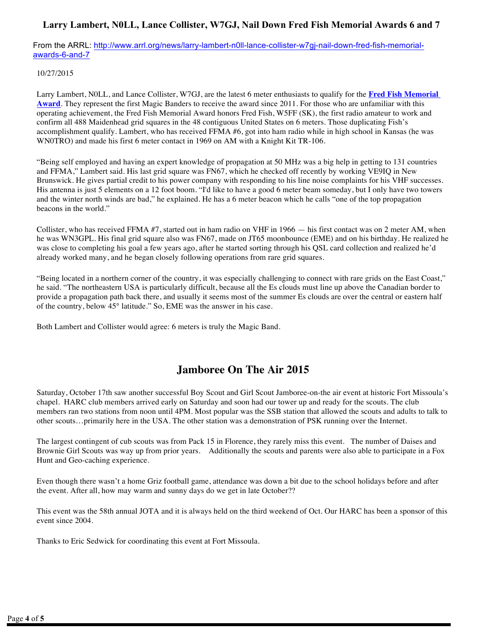### **Larry Lambert, N0LL, Lance Collister, W7GJ, Nail Down Fred Fish Memorial Awards 6 and 7**

From the ARRL: [http://www.arrl.org/news/larry-lambert-n0ll-lance-collister-w7gj-nail-down-fred-fish-memorial](http://www.arrl.org/news/larry-lambert-n0ll-lance-collister-w7gj-nail-down-fred-fish-memorial-awards-6-and-7)[awards-6-and-7](http://www.arrl.org/news/larry-lambert-n0ll-lance-collister-w7gj-nail-down-fred-fish-memorial-awards-6-and-7)

#### 10/27/2015

Larry Lambert, N0LL, and Lance Collister, W7GJ, are the latest 6 meter enthusiasts to qualify for the **[Fred Fish Memorial](http://www.arrl.org/ffma) [Award](http://www.arrl.org/ffma)**. They represent the first Magic Banders to receive the award since 2011. For those who are unfamiliar with this operating achievement, the Fred Fish Memorial Award honors Fred Fish, W5FF (SK), the first radio amateur to work and confirm all 488 Maidenhead grid squares in the 48 contiguous United States on 6 meters. Those duplicating Fish's accomplishment qualify. Lambert, who has received FFMA #6, got into ham radio while in high school in Kansas (he was WN0TRO) and made his first 6 meter contact in 1969 on AM with a Knight Kit TR-106.

"Being self employed and having an expert knowledge of propagation at 50 MHz was a big help in getting to 131 countries and FFMA," Lambert said. His last grid square was FN67, which he checked off recently by working VE9IQ in New Brunswick. He gives partial credit to his power company with responding to his line noise complaints for his VHF successes. His antenna is just 5 elements on a 12 foot boom. "I'd like to have a good 6 meter beam someday, but I only have two towers and the winter north winds are bad," he explained. He has a 6 meter beacon which he calls "one of the top propagation beacons in the world."

Collister, who has received FFMA #7, started out in ham radio on VHF in 1966 — his first contact was on 2 meter AM, when he was WN3GPL. His final grid square also was FN67, made on JT65 moonbounce (EME) and on his birthday. He realized he was close to completing his goal a few years ago, after he started sorting through his QSL card collection and realized he'd already worked many, and he began closely following operations from rare grid squares.

"Being located in a northern corner of the country, it was especially challenging to connect with rare grids on the East Coast," he said. "The northeastern USA is particularly difficult, because all the Es clouds must line up above the Canadian border to provide a propagation path back there, and usually it seems most of the summer Es clouds are over the central or eastern half of the country, below 45° latitude." So, EME was the answer in his case.

Both Lambert and Collister would agree: 6 meters is truly the Magic Band.

## **Jamboree On The Air 2015**

Saturday, October 17th saw another successful Boy Scout and Girl Scout Jamboree-on-the air event at historic Fort Missoula's chapel. HARC club members arrived early on Saturday and soon had our tower up and ready for the scouts. The club members ran two stations from noon until 4PM. Most popular was the SSB station that allowed the scouts and adults to talk to other scouts…primarily here in the USA. The other station was a demonstration of PSK running over the Internet.

The largest contingent of cub scouts was from Pack 15 in Florence, they rarely miss this event. The number of Daises and Brownie Girl Scouts was way up from prior years. Additionally the scouts and parents were also able to participate in a Fox Hunt and Geo-caching experience.

Even though there wasn't a home Griz football game, attendance was down a bit due to the school holidays before and after the event. After all, how may warm and sunny days do we get in late October??

This event was the 58th annual JOTA and it is always held on the third weekend of Oct. Our HARC has been a sponsor of this event since 2004.

Thanks to Eric Sedwick for coordinating this event at Fort Missoula.